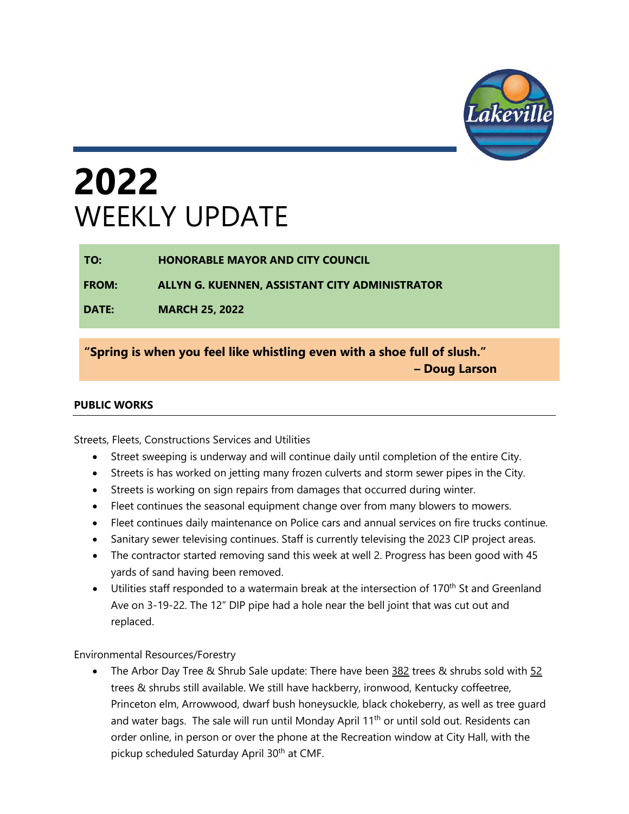

# **2022**  WEEKLY UPDATE

**TO: HONORABLE MAYOR AND CITY COUNCIL**

**FROM: ALLYN G. KUENNEN, ASSISTANT CITY ADMINISTRATOR**

**DATE: MARCH 25, 2022** 

**"Spring is when you feel like whistling even with a shoe full of slush." – Doug Larson**

#### **PUBLIC WORKS**

Streets, Fleets, Constructions Services and Utilities

- Street sweeping is underway and will continue daily until completion of the entire City.
- Streets is has worked on jetting many frozen culverts and storm sewer pipes in the City.
- Streets is working on sign repairs from damages that occurred during winter.
- Fleet continues the seasonal equipment change over from many blowers to mowers.
- Fleet continues daily maintenance on Police cars and annual services on fire trucks continue.
- Sanitary sewer televising continues. Staff is currently televising the 2023 CIP project areas.
- The contractor started removing sand this week at well 2. Progress has been good with 45 yards of sand having been removed.
- Utilities staff responded to a watermain break at the intersection of 170<sup>th</sup> St and Greenland Ave on 3-19-22. The 12" DIP pipe had a hole near the bell joint that was cut out and replaced.

Environmental Resources/Forestry

The Arbor Day Tree & Shrub Sale update: There have been 382 trees & shrubs sold with 52 trees & shrubs still available. We still have hackberry, ironwood, Kentucky coffeetree, Princeton elm, Arrowwood, dwarf bush honeysuckle, black chokeberry, as well as tree guard and water bags. The sale will run until Monday April 11<sup>th</sup> or until sold out. Residents can order online, in person or over the phone at the Recreation window at City Hall, with the pickup scheduled Saturday April 30<sup>th</sup> at CMF.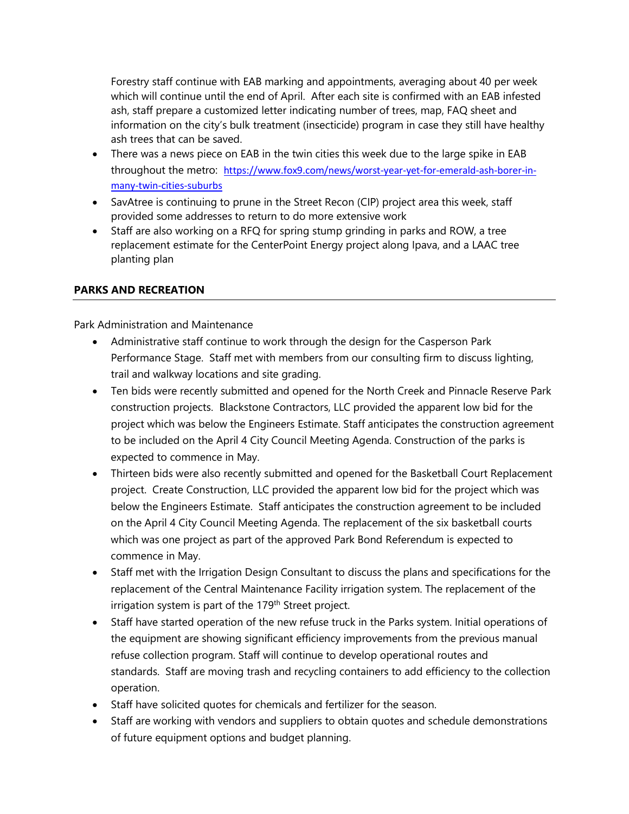Forestry staff continue with EAB marking and appointments, averaging about 40 per week which will continue until the end of April. After each site is confirmed with an EAB infested ash, staff prepare a customized letter indicating number of trees, map, FAQ sheet and information on the city's bulk treatment (insecticide) program in case they still have healthy ash trees that can be saved.

- There was a news piece on EAB in the twin cities this week due to the large spike in EAB throughout the metro: [https://www.fox9.com/news/worst-year-yet-for-emerald-ash-borer-in](https://www.fox9.com/news/worst-year-yet-for-emerald-ash-borer-in-many-twin-cities-suburbs)[many-twin-cities-suburbs](https://www.fox9.com/news/worst-year-yet-for-emerald-ash-borer-in-many-twin-cities-suburbs)
- SavAtree is continuing to prune in the Street Recon (CIP) project area this week, staff provided some addresses to return to do more extensive work
- Staff are also working on a RFQ for spring stump grinding in parks and ROW, a tree replacement estimate for the CenterPoint Energy project along Ipava, and a LAAC tree planting plan

#### **PARKS AND RECREATION**

Park Administration and Maintenance

- Administrative staff continue to work through the design for the Casperson Park Performance Stage. Staff met with members from our consulting firm to discuss lighting, trail and walkway locations and site grading.
- Ten bids were recently submitted and opened for the North Creek and Pinnacle Reserve Park construction projects. Blackstone Contractors, LLC provided the apparent low bid for the project which was below the Engineers Estimate. Staff anticipates the construction agreement to be included on the April 4 City Council Meeting Agenda. Construction of the parks is expected to commence in May.
- Thirteen bids were also recently submitted and opened for the Basketball Court Replacement project. Create Construction, LLC provided the apparent low bid for the project which was below the Engineers Estimate. Staff anticipates the construction agreement to be included on the April 4 City Council Meeting Agenda. The replacement of the six basketball courts which was one project as part of the approved Park Bond Referendum is expected to commence in May.
- Staff met with the Irrigation Design Consultant to discuss the plans and specifications for the replacement of the Central Maintenance Facility irrigation system. The replacement of the irrigation system is part of the 179<sup>th</sup> Street project.
- Staff have started operation of the new refuse truck in the Parks system. Initial operations of the equipment are showing significant efficiency improvements from the previous manual refuse collection program. Staff will continue to develop operational routes and standards. Staff are moving trash and recycling containers to add efficiency to the collection operation.
- Staff have solicited quotes for chemicals and fertilizer for the season.
- Staff are working with vendors and suppliers to obtain quotes and schedule demonstrations of future equipment options and budget planning.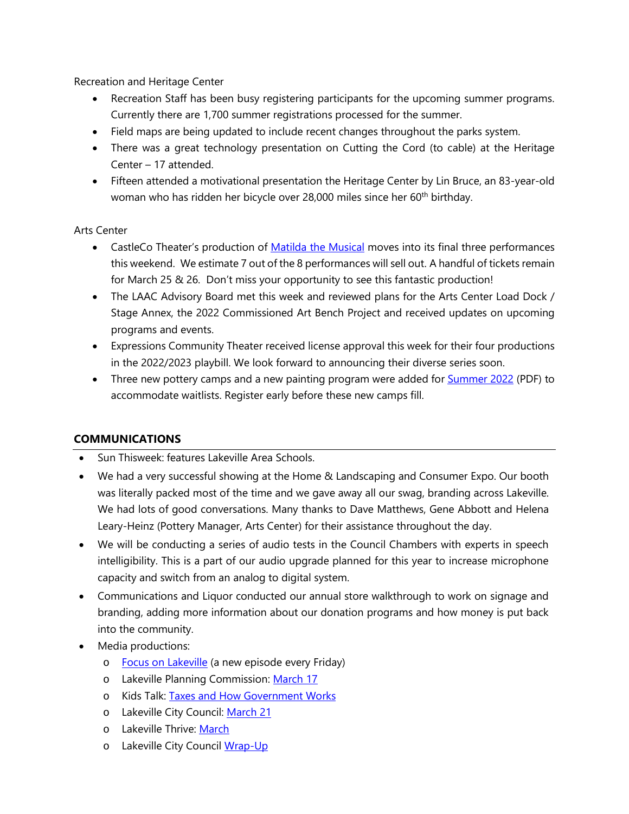Recreation and Heritage Center

- Recreation Staff has been busy registering participants for the upcoming summer programs. Currently there are 1,700 summer registrations processed for the summer.
- Field maps are being updated to include recent changes throughout the parks system.
- There was a great technology presentation on Cutting the Cord (to cable) at the Heritage Center – 17 attended.
- Fifteen attended a motivational presentation the Heritage Center by Lin Bruce, an 83-year-old woman who has ridden her bicycle over 28,000 miles since her 60<sup>th</sup> birthday.

#### Arts Center

- CastleCo Theater's production of [Matilda the Musical](https://www.lakevilleareaartscenter.com/574/Matilda-The-Musical) moves into its final three performances this weekend. We estimate 7 out of the 8 performances will sell out. A handful of tickets remain for March 25 & 26. Don't miss your opportunity to see this fantastic production!
- The LAAC Advisory Board met this week and reviewed plans for the Arts Center Load Dock / Stage Annex, the 2022 Commissioned Art Bench Project and received updates on upcoming programs and events.
- Expressions Community Theater received license approval this week for their four productions in the 2022/2023 playbill. We look forward to announcing their diverse series soon.
- Three new pottery camps and a new painting program were added fo[r Summer 2022](https://www.lakevilleareaartscenter.com/DocumentCenter/View/10627/Summer-2022-classes) (PDF) to accommodate waitlists. Register early before these new camps fill.

#### **COMMUNICATIONS**

- Sun Thisweek: features Lakeville Area Schools.
- We had a very successful showing at the Home & Landscaping and Consumer Expo. Our booth was literally packed most of the time and we gave away all our swag, branding across Lakeville. We had lots of good conversations. Many thanks to Dave Matthews, Gene Abbott and Helena Leary-Heinz (Pottery Manager, Arts Center) for their assistance throughout the day.
- We will be conducting a series of audio tests in the Council Chambers with experts in speech intelligibility. This is a part of our audio upgrade planned for this year to increase microphone capacity and switch from an analog to digital system.
- Communications and Liquor conducted our annual store walkthrough to work on signage and branding, adding more information about our donation programs and how money is put back into the community.
- Media productions:
	- o Focus on Lakeville (a new episode every Friday)
	- o Lakeville Planning Commission: [March 17](https://youtu.be/ziwC7oNyjOg)
	- o Kids Talk: [Taxes and How Government Works](https://youtu.be/ACzfdWewUtg)
	- o Lakeville City Council: [March 21](https://youtu.be/8TgWKndjHhY)
	- o Lakeville Thrive: [March](https://youtu.be/Xad7sW4AdOk)
	- o Lakeville City Council [Wrap-Up](https://youtu.be/9xMR0-OvIuY)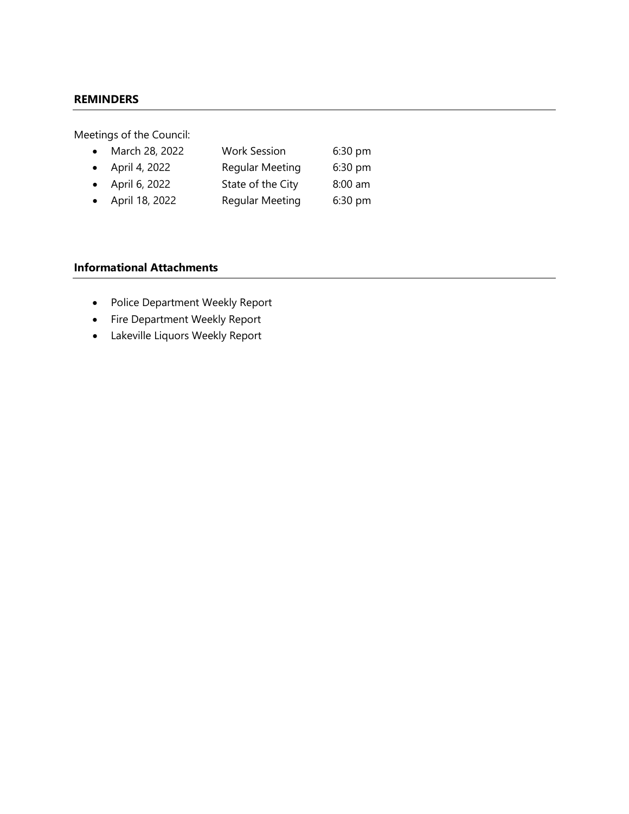#### **REMINDERS**

Meetings of the Council:

| • March 28, 2022        | <b>Work Session</b>    | 6:30 pm |
|-------------------------|------------------------|---------|
| $\bullet$ April 4, 2022 | <b>Regular Meeting</b> | 6:30 pm |
| • April 6, 2022         | State of the City      | 8:00 am |
| • April 18, 2022        | <b>Regular Meeting</b> | 6:30 pm |

#### **Informational Attachments**

- Police Department Weekly Report
- Fire Department Weekly Report
- Lakeville Liquors Weekly Report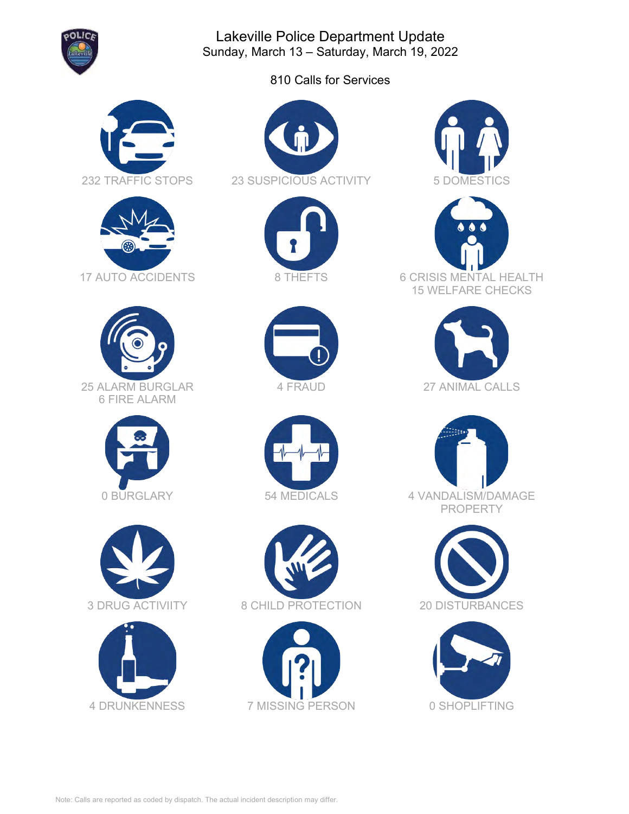

Lakeville Police Department Update Sunday, March 13 – Saturday, March 19, 2022

810 Calls for Services



































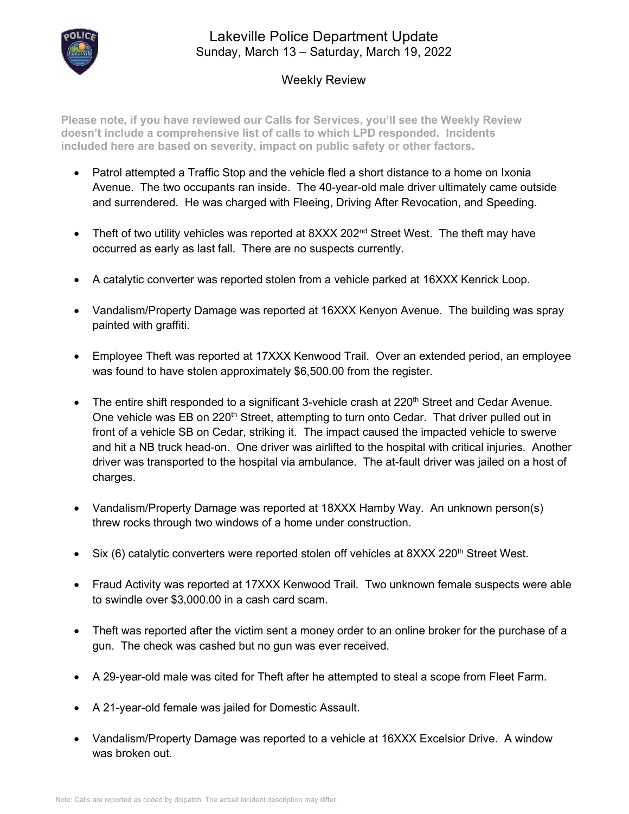

#### Lakeville Police Department Update Sunday, March 13 – Saturday, March 19, 2022

#### Weekly Review

**Please note, if you have reviewed our Calls for Services, you'll see the Weekly Review doesn't include a comprehensive list of calls to which LPD responded. Incidents included here are based on severity, impact on public safety or other factors.**

- Patrol attempted a Traffic Stop and the vehicle fled a short distance to a home on Ixonia Avenue. The two occupants ran inside. The 40-year-old male driver ultimately came outside and surrendered. He was charged with Fleeing, Driving After Revocation, and Speeding.
- Theft of two utility vehicles was reported at  $8$ XXX 202<sup>nd</sup> Street West. The theft may have occurred as early as last fall. There are no suspects currently.
- A catalytic converter was reported stolen from a vehicle parked at 16XXX Kenrick Loop.
- Vandalism/Property Damage was reported at 16XXX Kenyon Avenue. The building was spray painted with graffiti.
- Employee Theft was reported at 17XXX Kenwood Trail. Over an extended period, an employee was found to have stolen approximately \$6,500.00 from the register.
- The entire shift responded to a significant 3-vehicle crash at  $220<sup>th</sup>$  Street and Cedar Avenue. One vehicle was EB on 220<sup>th</sup> Street, attempting to turn onto Cedar. That driver pulled out in front of a vehicle SB on Cedar, striking it. The impact caused the impacted vehicle to swerve and hit a NB truck head-on. One driver was airlifted to the hospital with critical injuries. Another driver was transported to the hospital via ambulance. The at-fault driver was jailed on a host of charges.
- Vandalism/Property Damage was reported at 18XXX Hamby Way. An unknown person(s) threw rocks through two windows of a home under construction.
- Six (6) catalytic converters were reported stolen off vehicles at  $8$ XXX 220<sup>th</sup> Street West.
- Fraud Activity was reported at 17XXX Kenwood Trail. Two unknown female suspects were able to swindle over \$3,000.00 in a cash card scam.
- Theft was reported after the victim sent a money order to an online broker for the purchase of a gun. The check was cashed but no gun was ever received.
- A 29-year-old male was cited for Theft after he attempted to steal a scope from Fleet Farm.
- A 21-year-old female was jailed for Domestic Assault.
- Vandalism/Property Damage was reported to a vehicle at 16XXX Excelsior Drive. A window was broken out.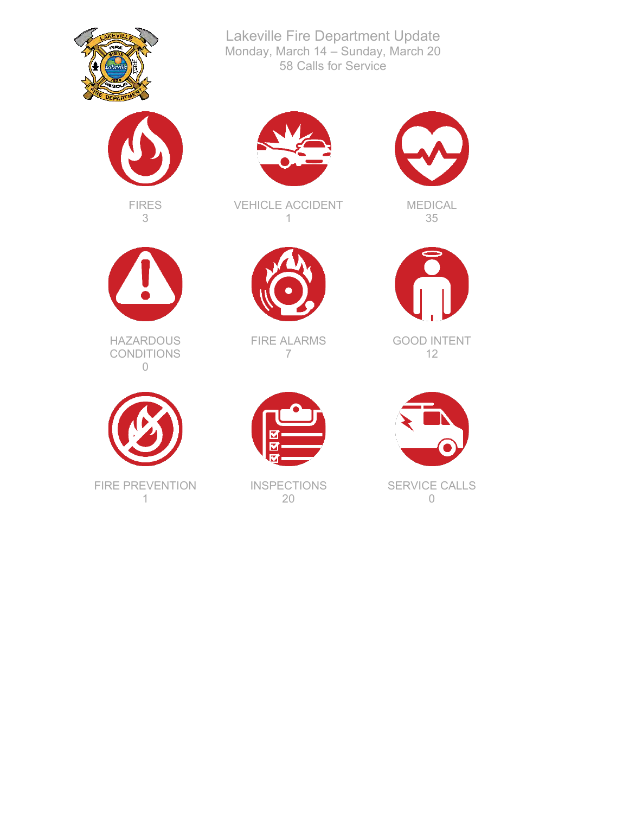



FIRES 3



**HAZARDOUS** CONDITIONS 0



FIRE PREVENTION 1



Lakeville Fire Department Update Monday, March 14 – Sunday, March 20 58 Calls for Service

VEHICLE ACCIDENT 1



FIRE ALARMS 7



**INSPECTIONS** 20



MEDICAL 35



GOOD INTENT 12



SERVICE CALLS 0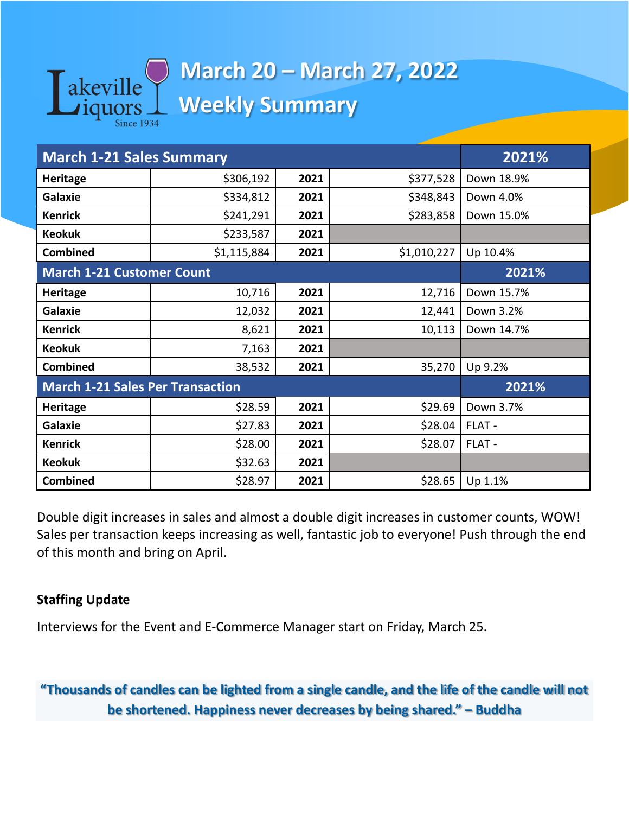

# **March 20 – March 27, 2022 Weekly Summary**

| <b>March 1-21 Sales Summary</b>         | 2021%       |      |             |            |
|-----------------------------------------|-------------|------|-------------|------------|
| <b>Heritage</b>                         | \$306,192   | 2021 | \$377,528   | Down 18.9% |
| Galaxie                                 | \$334,812   | 2021 | \$348,843   | Down 4.0%  |
| <b>Kenrick</b>                          | \$241,291   | 2021 | \$283,858   | Down 15.0% |
| <b>Keokuk</b>                           | \$233,587   | 2021 |             |            |
| <b>Combined</b>                         | \$1,115,884 | 2021 | \$1,010,227 | Up 10.4%   |
| <b>March 1-21 Customer Count</b>        | 2021%       |      |             |            |
| <b>Heritage</b>                         | 10,716      | 2021 | 12,716      | Down 15.7% |
| <b>Galaxie</b>                          | 12,032      | 2021 | 12,441      | Down 3.2%  |
| <b>Kenrick</b>                          | 8,621       | 2021 | 10,113      | Down 14.7% |
| <b>Keokuk</b>                           | 7,163       | 2021 |             |            |
| <b>Combined</b>                         | 38,532      | 2021 | 35,270      | Up 9.2%    |
| <b>March 1-21 Sales Per Transaction</b> | 2021%       |      |             |            |
| <b>Heritage</b>                         | \$28.59     | 2021 | \$29.69     | Down 3.7%  |
| <b>Galaxie</b>                          | \$27.83     | 2021 | \$28.04     | FLAT -     |
| <b>Kenrick</b>                          | \$28.00     | 2021 | \$28.07     | FLAT -     |
| <b>Keokuk</b>                           | \$32.63     | 2021 |             |            |
| <b>Combined</b>                         | \$28.97     | 2021 | \$28.65     | Up 1.1%    |

Double digit increases in sales and almost a double digit increases in customer counts, WOW! Sales per transaction keeps increasing as well, fantastic job to everyone! Push through the end of this month and bring on April.

### **Staffing Update**

Interviews for the Event and E-Commerce Manager start on Friday, March 25.

**"Thousands of candles can be lighted from a single candle, and the life of the candle will not be shortened. Happiness never decreases by being shared." – Buddha**